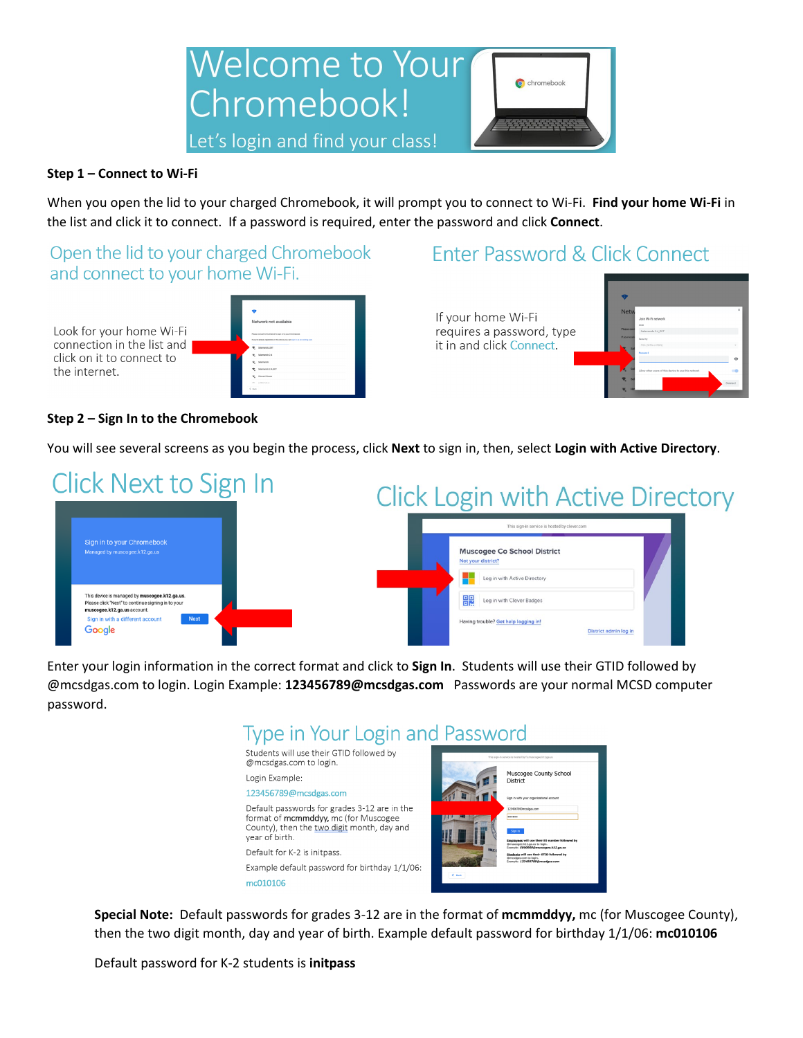

### **Step 1 – Connect to Wi-Fi**

When you open the lid to your charged Chromebook, it will prompt you to connect to Wi-Fi. **Find your home Wi-Fi** in the list and click it to connect. If a password is required, enter the password and click **Connect**.

Open the lid to your charged Chromebook and connect to your home Wi-Fi.

Look for your home Wi-Fi connection in the list and click on it to connect to the internet.

 $\sim$  1.4 **COL**  $\sim$   $\sim$ 

| Network not available                                                                                                                            |
|--------------------------------------------------------------------------------------------------------------------------------------------------|
|                                                                                                                                                  |
| Please connect to the Internet to sign in to your Chromebook.<br>If enalte already registered on this decise you can stor in on an exhibit your. |
| Selemando EXT<br>÷.                                                                                                                              |
| Salamando 2.4                                                                                                                                    |
| Selemando                                                                                                                                        |
| Salemando 2.4, EXT<br>÷.                                                                                                                         |
| <b>Hintard House</b>                                                                                                                             |
| <b>LESSARIA</b><br>-                                                                                                                             |

# Enter Password & Click Connect

If your home Wi-Fi requires a password, type it in and click Connect.



#### **Step 2 – Sign In to the Chromebook**

You will see several screens as you begin the process, click **Next** to sign in, then, select **Login with Active Directory**.

| Click Next to Sign In |                                                                                                                                                                                          | <b>Click Login with Active Directory</b>                                                        |  |
|-----------------------|------------------------------------------------------------------------------------------------------------------------------------------------------------------------------------------|-------------------------------------------------------------------------------------------------|--|
|                       |                                                                                                                                                                                          | This sign-in service is hosted by clever.com                                                    |  |
|                       | Sign in to your Chromebook<br>Managed by muscogee.k12.ga.us                                                                                                                              | <b>Muscogee Co School District</b><br>Not your district?<br>Log in with Active Directory        |  |
|                       | This device is managed by muscogee.k12.ga.us.<br>Please click "Next" to continue signing in to your<br>muscogee.k12.ga.us account.<br>Next<br>Sign in with a different account<br>Google | 嘂<br>Log in with Clever Badges<br>Having trouble? Got holp logging in!<br>District admin log in |  |

Enter your login information in the correct format and click to **Sign In**. Students will use their GTID followed by @mcsdgas.com to login. Login Example: **123456789@mcsdgas.com** Passwords are your normal MCSD computer password.

## Type in Your Login and Password



**Special Note:** Default passwords for grades 3-12 are in the format of **mcmmddyy,** mc (for Muscogee County), then the two digit month, day and year of birth. Example default password for birthday 1/1/06: **mc010106**

Default password for K-2 students is **initpass**